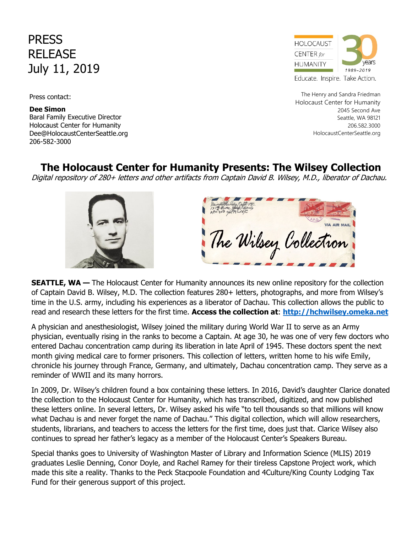PRESS RELEASE July 11, 2019

Press contact:

 Holocaust Center for Humanity 206-582-3000**Dee Simon** Baral Family Executive Director Dee@HolocaustCenterSeattle.org



The Henry and Sandra Friedman Holocaust Center for Humanity 2045 Second Ave Seattle, WA 98121 206.582.3000 HolocaustCenterSeattle.org

## **The Holocaust Center for Humanity Presents: The Wilsey Collection**

Digital repository of 280+ letters and other artifacts from Captain David B. Wilsey, M.D., liberator of Dachau.



**SEATTLE, WA —** The Holocaust Center for Humanity announces its new online repository for the collection of Captain David B. Wilsey, M.D. The collection features 280+ letters, photographs, and more from Wilsey's time in the U.S. army, including his experiences as a liberator of Dachau. This collection allows the public to read and research these letters for the first time. **Access the collection at**: **[http://hchwilsey.omeka.net](https://hchwilsey.omeka.net./)**

A physician and anesthesiologist, Wilsey joined the military during World War II to serve as an Army physician, eventually rising in the ranks to become a Captain. At age 30, he was one of very few doctors who entered Dachau concentration camp during its liberation in late April of 1945. These doctors spent the next month giving medical care to former prisoners. This collection of letters, written home to his wife Emily, chronicle his journey through France, Germany, and ultimately, Dachau concentration camp. They serve as a reminder of WWII and its many horrors.

In 2009, Dr. Wilsey's children found a box containing these letters. In 2016, David's daughter Clarice donated the collection to the Holocaust Center for Humanity, which has transcribed, digitized, and now published these letters online. In several letters, Dr. Wilsey asked his wife "to tell thousands so that millions will know what Dachau is and never forget the name of Dachau." This digital collection, which will allow researchers, students, librarians, and teachers to access the letters for the first time, does just that. Clarice Wilsey also continues to spread her father's legacy as a member of the Holocaust Center's Speakers Bureau.

Special thanks goes to University of Washington Master of Library and Information Science (MLIS) 2019 graduates Leslie Denning, Conor Doyle, and Rachel Ramey for their tireless Capstone Project work, which made this site a reality. Thanks to the Peck Stacpoole Foundation and 4Culture/King County Lodging Tax Fund for their generous support of this project.